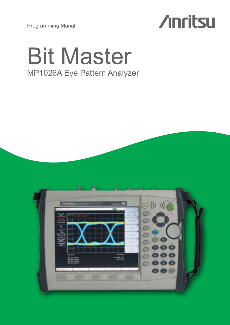Programming Manal



# Bit Master MP1026A Eye Pattern Analyzer

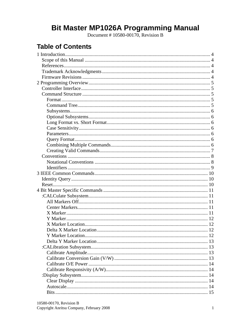# Bit Master MP1026A Programming Manual<br>Document #10580-00170, Revision B

# **Table of Contents**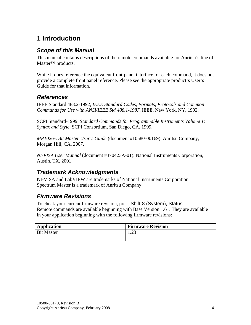# <span id="page-4-0"></span>**1 Introduction**

# *Scope of this Manual*

This manual contains descriptions of the remote commands available for Anritsu's line of Master™ products.

While it does reference the equivalent front-panel interface for each command, it does not provide a complete front panel reference. Please see the appropriate product's User's Guide for that information.

# *References*

IEEE Standard 488.2-1992, *IEEE Standard Codes, Formats, Protocols and Common Commands for Use with ANSI/IEEE Std 488.1-1987*. IEEE, New York, NY, 1992.

SCPI Standard-1999, *Standard Commands for Programmable Instruments Volume 1: Syntax and Style*. SCPI Consortium, San Diego, CA, 1999.

*MP1026A Bit Master User's Guide* (document #10580-00169). Anritsu Company, Morgan Hill, CA, 2007.

*NI-VISA User Manual* (document #370423A-01). National Instruments Corporation, Austin, TX, 2001.

# *Trademark Acknowledgments*

NI-VISA and LabVIEW are trademarks of National Instruments Corporation. Spectrum Master is a trademark of Anritsu Company.

# *Firmware Revisions*

To check your current firmware revision, press Shift-8 (System), Status. Remote commands are available beginning with Base Version 1.61. They are available in your application beginning with the following firmware revisions:

| <b>Application</b> | <b>Firmware Revision</b> |
|--------------------|--------------------------|
| <b>Bit Master</b>  | $\sim$<br>رے ک           |
|                    |                          |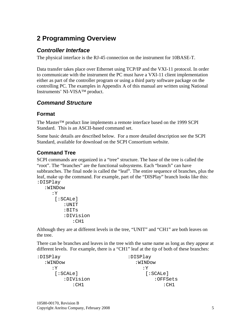# <span id="page-5-0"></span>**2 Programming Overview**

# *Controller Interface*

The physical interface is the RJ-45 connection on the instrument for 10BASE-T.

Data transfer takes place over Ethernet using TCP/IP and the VXI-11 protocol. In order to communicate with the instrument the PC must have a VXI-11 client implementation either as part of the controller program or using a third party software package on the controlling PC. The examples in Appendix A of this manual are written using National Instruments' NI-VISA™ product.

# *Command Structure*

# **Format**

The Master™ product line implements a remote interface based on the 1999 SCPI Standard. This is an ASCII-based command set.

Some basic details are described below. For a more detailed description see the SCPI Standard, available for download on the SCPI Consortium website.

# **Command Tree**

SCPI commands are organized in a "tree" structure. The base of the tree is called the "root". The "branches" are the functional subsystems. Each "branch" can have subbranches. The final node is called the "leaf". The entire sequence of branches, plus the leaf, make up the command. For example, part of the "DISPlay" branch looks like this: :DISPlay

```
:WINDow 
   :Y 
    [:SCALe]
         :UNIT 
         :BITs 
         :DIVision 
              :CH1
```
Although they are at different levels in the tree, "UNIT" and "CH1" are both leaves on the tree.

There can be branches and leaves in the tree with the same name as long as they appear at different levels. For example, there is a "CH1" leaf at the tip of both of these branches:

:DISPlay :WINDow :Y [:SCALe] :DIVision :CH1 :DISPlay :WINDow :Y [:SCALe] :OFFSets :CH1

10580-00170, Revision B Copyright Anritsu Company, February 2008 5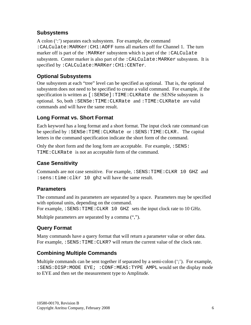# <span id="page-6-0"></span>**Subsystems**

A colon (":") separates each subsystem. For example, the command :CALCulate:MARKer:CH1:AOFF turns all markers off for Channel 1. The turn marker off is part of the : MARKer subsystem which is part of the : CALCulate subsystem. Center marker is also part of the  $:$  CALCulate: MARKer subsystem. It is specified by :CALCulate:MARKer:CH1:CENTer.

# **Optional Subsystems**

One subsystem at each "tree" level can be specified as optional. That is, the optional subsystem does not need to be specified to create a valid command. For example, if the specification is written as [:SENSe]:TIME:CLKRate the :SENSe subsystem is optional. So, both :SENSe:TIME:CLKRate and :TIME:CLKRate are valid commands and will have the same result.

# **Long Format vs. Short Format**

Each keyword has a long format and a short format. The input clock rate command can be specified by :SENSe:TIME:CLKRate or :SENS:TIME:CLKR. The capital letters in the command specification indicate the short form of the command.

Only the short form and the long form are acceptable. For example,  $:$  SENS: TIME:CLKRate is not an acceptable form of the command.

# **Case Sensitivity**

Commands are not case sensitive. For example, :SENS:TIME:CLKR 10 GHZ and :sens:time:clkr 10 ghz will have the same result.

# **Parameters**

The command and its parameters are separated by a space. Parameters may be specified with optional units, depending on the command.

For example, :SENS:TIME:CLKR 10 GHZ sets the input clock rate to 10 GHz.

Multiple parameters are separated by a comma  $(\cdot\cdot\cdot\cdot)$ .

# **Query Format**

Many commands have a query format that will return a parameter value or other data. For example, : SENS: TIME: CLKR? will return the current value of the clock rate.

# **Combining Multiple Commands**

Multiple commands can be sent together if separated by a semi-colon (";"). For example, :SENS:DISP:MODE EYE; :CONF:MEAS:TYPE AMPL would set the display mode to EYE and then set the measurement type to Amplitude.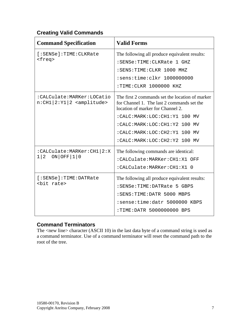# <span id="page-7-0"></span>**Creating Valid Commands**

| <b>Command Specification</b>                                            | <b>Valid Forms</b>                                                                                                                                                                                                                                                 |
|-------------------------------------------------------------------------|--------------------------------------------------------------------------------------------------------------------------------------------------------------------------------------------------------------------------------------------------------------------|
| [:SENSe]:TIME:CLKRate<br><freq></freq>                                  | The following all produce equivalent results:<br>:SENSe:TIME:CLKRate 1 GHZ<br>:SENS:TIME:CLKR 1000 MHZ<br>:sens:time:clkr 1000000000<br>:TIME:CLKR 1000000 KHZ                                                                                                     |
| :CALCulate:MARKer:LOCatio<br>$n:CH1   2:Y1   2$ <amplitude></amplitude> | The first 2 commands set the location of marker<br>for Channel 1. The last 2 commands set the<br>location of marker for Channel 2.<br>:CALC:MARK:LOC:CH1:Y1 100 MV<br>:CALC:MARK:LOC:CH1:Y2 100 MV<br>:CALC:MARK:LOC:CH2:Y1 100 MV<br>:CALC:MARK:LOC:CH2:Y2 100 MV |
| :CALCulate:MARKer:CH1 2:X<br>ON OFF 110<br>1 2                          | The following commands are identical:<br>:CALCulate:MARKer:CH1:X1 OFF<br>:CALCulate:MARKer:CH1:X1 0                                                                                                                                                                |
| [:SENSE]:TIME:DATRate<br><bit rate=""></bit>                            | The following all produce equivalent results:<br>:SENSe:TIME:DATRate 5 GBPS<br>:SENS:TIME:DATR 5000 MBPS<br>:sense:time:datr 5000000 KBPS<br>:TIME:DATR 5000000000 BPS                                                                                             |

# **Command Terminators**

The <new line> character (ASCII 10) in the last data byte of a command string is used as a command terminator. Use of a command terminator will reset the command path to the root of the tree.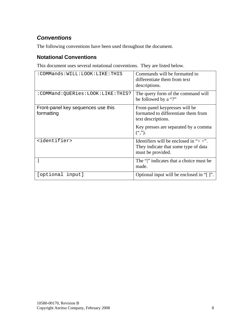# <span id="page-8-0"></span>*Conventions*

The following conventions have been used throughout the document.

# **Notational Conventions**

This document uses several notational conventions. They are listed below.

| :COMMands:WILL:LOOK:LIKE:THIS                    | Commands will be formatted to<br>differentiate them from text<br>descriptions.                           |
|--------------------------------------------------|----------------------------------------------------------------------------------------------------------|
| :COMMand:QUERies:LOOK:LIKE:THIS?                 | The query form of the command will<br>be followed by a "?"                                               |
| Front-panel key sequences use this<br>formatting | Front-panel keypresses will be<br>formatted to differentiate them from<br>text descriptions.             |
|                                                  | Key presses are separated by a comma<br>$($ ",").                                                        |
| <identifier></identifier>                        | Identifiers will be enclosed in " $\lt$ >".<br>They indicate that some type of data<br>must be provided. |
|                                                  | The "" indicates that a choice must be<br>made.                                                          |
| [optional input]                                 | Optional input will be enclosed in "[]".                                                                 |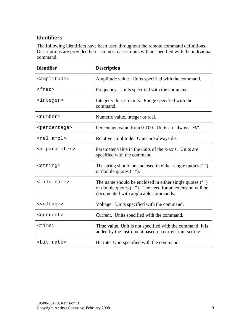# <span id="page-9-0"></span>**Identifiers**

The following identifiers have been used throughout the remote command definitions. Descriptions are provided here. In most cases, units will be specified with the individual command.

| <b>Identifier</b>           | <b>Description</b>                                                                                                                                            |
|-----------------------------|---------------------------------------------------------------------------------------------------------------------------------------------------------------|
| <amplitude></amplitude>     | Amplitude value. Units specified with the command.                                                                                                            |
| <freq></freq>               | Frequency. Units specified with the command.                                                                                                                  |
| <integer></integer>         | Integer value, no units. Range specified with the<br>command.                                                                                                 |
| <number></number>           | Numeric value, integer or real.                                                                                                                               |
| <percentage></percentage>   | Percentage value from 0-100. Units are always "%".                                                                                                            |
| <rel ampl=""></rel>         | Relative amplitude. Units are always dB.                                                                                                                      |
| <x-parameter></x-parameter> | Parameter value in the units of the x-axis. Units are<br>specified with the command.                                                                          |
| <string></string>           | The string should be enclosed in either single quotes $(')$<br>or double quotes ("").                                                                         |
| <file name=""></file>       | The name should be enclosed in either single quotes $(')$<br>or double quotes (""). The need for an extension will be<br>documented with applicable commands. |
| <voltage></voltage>         | Voltage. Units specified with the command.                                                                                                                    |
| <current></current>         | Current. Units specified with the command.                                                                                                                    |
| $<$ time $>$                | Time value. Unit is not specified with the command. It is<br>added by the instrument based on current unit setting.                                           |
| <bit rate=""></bit>         | Bit rate. Unit specified with the command.                                                                                                                    |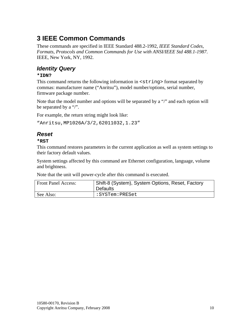# <span id="page-10-0"></span>**3 IEEE Common Commands**

These commands are specified in IEEE Standard 488.2-1992, *IEEE Standard Codes, Formats, Protocols and Common Commands for Use with ANSI/IEEE Std 488.1-1987*. IEEE, New York, NY, 1992.

# *Identity Query*

#### **\*IDN?**

This command returns the following information in <string> format separated by commas: manufacturer name ("Anritsu"), model number/options, serial number, firmware package number.

Note that the model number and options will be separated by a "/" and each option will be separated by a "/".

For example, the return string might look like:

```
"Anritsu,MP1026A/3/2,62011032,1.23"
```
# *Reset*

#### **\*RST**

This command restores parameters in the current application as well as system settings to their factory default values.

System settings affected by this command are Ethernet configuration, language, volume and brightness.

Note that the unit will power-cycle after this command is executed.

| <b>Front Panel Access:</b> | Shift-8 (System), System Options, Reset, Factory<br><b>Defaults</b> |
|----------------------------|---------------------------------------------------------------------|
| See Also:                  | :SYSTem:PRESet                                                      |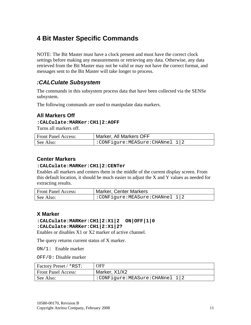# <span id="page-11-0"></span>**4 Bit Master Specific Commands**

NOTE: The Bit Master must have a clock present and must have the correct clock settings before making any measurements or retrieving any data. Otherwise, any data retrieved from the Bit Master may not be valid or may not have the correct format, and messages sent to the Bit Master will take longer to process.

# *:CALCulate Subsystem*

The commands in this subsystem process data that have been collected via the SENSe subsystem.

The following commands are used to manipulate data markers.

# **All Markers Off**

#### **:CALCulate:MARKer:CH1|2:AOFF**

Turns all markers off.

| <b>Front Panel Access:</b> | Marker, All Markers OFF        |
|----------------------------|--------------------------------|
| See Also:                  | :CONFigure:MEASure:CHANnel 1 2 |

#### **Center Markers**

#### **:CALCulate:MARKer:CH1|2:CENTer**

Enables all markers and centers them in the middle of the current display screen. From this default location, it should be much easier to adjust the X and Y values as needed for extracting results.

| <b>Front Panel Access:</b> | <b>Marker, Center Markers</b>  |
|----------------------------|--------------------------------|
| See Also:                  | :CONFigure:MEASure:CHANnel 1 2 |

#### **X Marker**

# **:CALCulate:MARKer:CH1|2:X1|2 ON|OFF|1|0**

#### **:CALCulate:MARKer:CH1|2:X1|2?**

Enables or disables X1 or X2 marker of active channel.

The query returns current status of X marker.

ON/1: Enable marker

OFF/0: Disable marker

| <b>Factory Preset / *RST:</b> | OFF                            |
|-------------------------------|--------------------------------|
| <b>Front Panel Access:</b>    | Marker, X1/X2                  |
| See Also:                     | :CONFigure:MEASure:CHANnel 1 2 |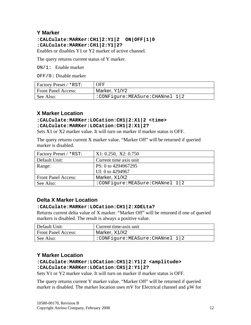# <span id="page-12-0"></span>**Y Marker**

### **:CALCulate:MARKer:CH1|2:Y1|2 ON|OFF|1|0 :CALCulate:MARKer:CH1|2:Y1|2?**

Enables or disables Y1 or Y2 marker of active channel.

The query returns current status of Y marker.

ON/1: Enable marker

OFF/0: Disable marker

| Factory Preset / *RST:     | <b>OFF</b>                     |
|----------------------------|--------------------------------|
| <b>Front Panel Access:</b> | Marker, Y1/Y2                  |
| See Also:                  | :CONFigure:MEASure:CHANnel 1 2 |

# **X Marker Location**

#### **:CALCulate:MARKer:LOCation:CH1|2:X1|2 <time> :CALCulate:MARKer:LOCation:CH1|2:X1|2?**

Sets X1 or X2 marker value. It will turn on marker if marker status is OFF.

The query returns current X marker value. "Marker Off" will be returned if queried marker is disabled.

| Factory Preset / *RST:     | X1: 0.250, X2: 0.750           |
|----------------------------|--------------------------------|
| Default Unit:              | Current time axis unit         |
| Range:                     | PS: 0 to 4294967295            |
|                            | UI: 0 to 4294967               |
| <b>Front Panel Access:</b> | Marker, X1/X2                  |
| See Also:                  | :CONFigure:MEASure:CHANnel 1 2 |

# **Delta X Marker Location**

#### **:CALCulate:MARKer:LOCation:CH1|2:XDELta?**

Returns current delta value of X marker. "Marker Off" will be returned if one of queried markers is disabled. The result is always a positive value.

| Default Unit:              | Current time-axis unit         |
|----------------------------|--------------------------------|
| <b>Front Panel Access:</b> | Marker, X1/X2                  |
| See Also:                  | :CONFigure:MEASure:CHANnel 1 2 |

# **Y Marker Location**

#### **:CALCulate:MARKer:LOCation:CH1|2:Y1|2 <amplitude> :CALCulate:MARKer:LOCation:CH1|2:Y1|2?**

Sets Y1 or Y2 marker value. It will turn on marker if marker status is OFF.

The query returns current Y marker value. "Marker Off" will be returned if queried marker is disabled. The marker location uses mV for Electrical channel and  $\mu$ W for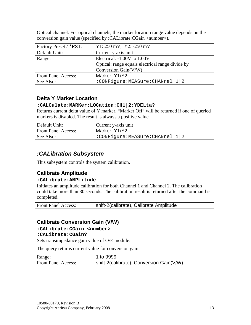| Factory Preset / *RST:     | $Y1: 250$ mV, $Y2: -250$ mV                      |
|----------------------------|--------------------------------------------------|
| Default Unit:              | Current y-axis unit                              |
| Range:                     | Electrical: -1.00V to 1.00V                      |
|                            | Optical: range equals electrical range divide by |
|                            | Conversion Gain(V/W)                             |
| <b>Front Panel Access:</b> | Marker, Y1/Y2                                    |
| See Also:                  | :CONFigure:MEASure:CHANnel 1 2                   |

<span id="page-13-0"></span>Optical channel. For optical channels, the marker location range value depends on the conversion gain value (specified by :CALibrate:CGain <number>).

# **Delta Y Marker Location**

#### **:CALCulate:MARKer:LOCation:CH1|2:YDELta?**

Returns current delta value of Y marker. "Marker Off" will be returned if one of queried markers is disabled. The result is always a positive value.

| Default Unit:              | Current y-axis unit            |
|----------------------------|--------------------------------|
| <b>Front Panel Access:</b> | Marker, Y1/Y2                  |
| See Also:                  | :CONFigure:MEASure:CHANnel 1 2 |

# *:CALibration Subsystem*

This subsystem controls the system calibration.

# **Calibrate Amplitude**

#### **:CALibrate:AMPLitude**

Initiates an amplitude calibration for both Channel 1 and Channel 2. The calibration could take more than 30 seconds. The calibration result is returned after the command is completed.

| shift-2(calibrate), Calibrate Amplitude<br><b>Front Panel Access:</b> |
|-----------------------------------------------------------------------|
|-----------------------------------------------------------------------|

#### **Calibrate Conversion Gain (V/W)**

#### **:CALibrate:CGain <number>**

#### **:CALibrate:CGain?**

Sets transimpedance gain value of O/E module.

The query returns current value for conversion gain.

| Range:                     | 1 to 9999                                |
|----------------------------|------------------------------------------|
| <b>Front Panel Access:</b> | shift-2(calibrate), Conversion Gain(V/W) |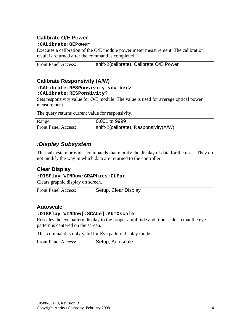# <span id="page-14-0"></span>**Calibrate O/E Power**

#### **:CALibrate:OEPower**

Executes a calibration of the O/E module power meter measurement. The calibration result is returned after the command is completed.

| <b>Front Panel Access:</b> | shift-2(calibrate), Calibrate O/E Power |
|----------------------------|-----------------------------------------|
|                            |                                         |

# **Calibrate Responsivity (A/W)**

#### **:CALibrate:RESPonsivity <number> :CALibrate:RESPonsivity?**

Sets responsivity value for O/E module. The value is used for average optical power measurement.

The query returns current value for responsivity.

| Range:                     | 0.001 to 9999                         |
|----------------------------|---------------------------------------|
| <b>Front Panel Access:</b> | shift-2(calibrate), Responsivity(A/W) |

# *:Display Subsystem*

This subsystem provides commands that modify the display of data for the user. They do not modify the way in which data are returned to the controller.

# **Clear Display**

#### **:DISPlay:WINDow:GRAPhics:CLEar**

Clears graphic display on screen.

| <b>Front Panel Access:</b> | <b>Clear Display</b><br><b>Setup</b> |
|----------------------------|--------------------------------------|
|                            |                                      |

#### **Autoscale**

#### **:DISPlay:WINDow[:SCALe]:AUTOscale**

Rescales the eye pattern display to the proper amplitude and time scale so that the eye pattern is centered on the screen.

This command is only valid for Eye pattern display mode.

| <b>Front Panel Access:</b> | Autoscale<br>Setup. |
|----------------------------|---------------------|
|                            |                     |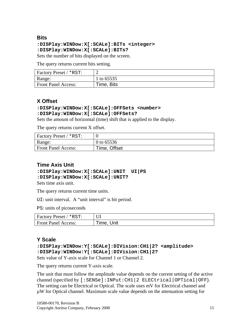#### <span id="page-15-0"></span>**Bits**

# **:DISPlay:WINDow:X[:SCALe]:BITs <integer> :DISPlay:WINDow:X[:SCALe]:BITs?**

Sets the number of bits displayed on the screen.

The query returns current bits setting.

| <b>Factory Preset / *RST:</b> |            |
|-------------------------------|------------|
| Range:                        | 1 to 65535 |
| <b>Front Panel Access:</b>    | Time, Bits |

# **X Offset**

#### **:DISPlay:WINDow:X[:SCALe]:OFFSets <number> :DISPlay:WINDow:X[:SCALe]:OFFSets?**

Sets the amount of horizontal (time) shift that is applied to the display.

The query returns current X offset.

| Factory Preset / *RST:     |              |
|----------------------------|--------------|
| Range:                     | 0 to 65536   |
| <b>Front Panel Access:</b> | Time, Offset |

# **Time Axis Unit**

#### **:DISPlay:WINDow:X[:SCALe]:UNIT UI|PS :DISPlay:WINDow:X[:SCALe]:UNIT?**

Sets time axis unit.

The query returns current time units.

UI: unit interval. A "unit interval" is bit period.

PS: units of picoseconds

| Factory Preset / *RST:     |            |
|----------------------------|------------|
| <b>Front Panel Access:</b> | Time, Unit |

# **Y Scale**

```
:DISPlay:WINDow:Y[:SCALe]:DIVision:CH1|2? <amplitude> 
:DISPlay:WINDow:Y[:SCALe]:DIVision:CH1|2?
Sets value of Y-axis scale for Channel 1 or Channel 2.
```
The query returns current Y-axis scale.

The unit that must follow the amplitude value depends on the current setting of the active channel (specified by [:SENSe]:INPut:CH1|2 ELECtrical|OPTical|OFF). The setting can be Electrical or Optical. The scale uses mV for Electrical channel and µW for Optical channel. Maximum scale value depends on the attenuation setting for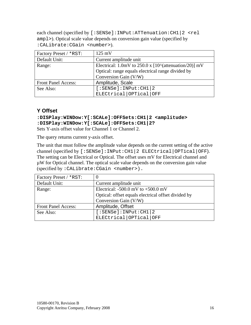<span id="page-16-0"></span>each channel (specified by [:SENSe]:INPut:ATTenuation:CH1|2 <rel ampl>). Optical scale value depends on conversion gain value (specified by :CALibrate:CGain <number>).

| Factory Preset / *RST:     | $125 \text{ mV}$                                                |
|----------------------------|-----------------------------------------------------------------|
| Default Unit:              | Current amplitude unit                                          |
| Range:                     | Electrical: 1.0mV to 250.0 x $[10^{\circ}$ (attenuation/20)] mV |
|                            | Optical: range equals electrical range divided by               |
|                            | Conversion Gain (V/W)                                           |
| <b>Front Panel Access:</b> | Amplitude, Scale                                                |
| See Also:                  | [:SENSE]:INPut:CH1 2                                            |
|                            | ELECtrical   OPTical   OFF                                      |

# **Y Offset**

# **:DISPlay:WINDow:Y[:SCALe]:OFFSets:CH1|2 <amplitude> :DISPlay:WINDow:Y[:SCALe]:OFFSets:CH1|2?**

Sets Y-axis offset value for Channel 1 or Channel 2.

The query returns current y-axis offset.

The unit that must follow the amplitude value depends on the current setting of the active channel (specified by [:SENSe]:INPut:CH1|2 ELECtrical|OPTical|OFF). The setting can be Electrical or Optical. The offset uses mV for Electrical channel and µW for Optical channel. The optical scale value depends on the conversion gain value (specified by :CALibrate:CGain <number>).

| Factory Preset / *RST:     |                                                     |
|----------------------------|-----------------------------------------------------|
| Default Unit:              | Current amplitude unit                              |
| Range:                     | Electrical: $-500.0$ mV to $+500.0$ mV              |
|                            | Optical: offset equals electrical offset divided by |
|                            | Conversion Gain (V/W)                               |
| <b>Front Panel Access:</b> | Amplitude, Offset                                   |
| See Also:                  | [:SENSE]:INPut:CH1 2                                |
|                            | ELECtrical   OPTical   OFF                          |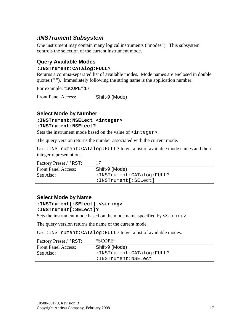# <span id="page-17-0"></span>*:INSTrument Subsystem*

One instrument may contain many logical instruments ("modes"). This subsystem controls the selection of the current instrument mode.

# **Query Available Modes**

#### **:INSTrument:CATalog:FULL?**

Returns a comma-separated list of available modes. Mode names are enclosed in double quotes (" "). Immediately following the string name is the application number.

For example: "SCOPE"17

| <b>Front Panel Access:</b> | (Mode)<br>$\bigcap$ . $\bigcup_{i=1}^{n}$ $\bigcup_{i=1}^{n}$<br>------ |
|----------------------------|-------------------------------------------------------------------------|
|                            |                                                                         |

#### **Select Mode by Number**

#### **:INSTrument:NSELect <integer>**

#### **:INSTrument:NSELect?**

Sets the instrument mode based on the value of  $\langle$  integer>.

The query version returns the number associated with the current mode.

Use :INSTrument:CATalog:FULL? to get a list of available mode names and their integer representations.

| Factory Preset / *RST:     |                              |
|----------------------------|------------------------------|
| <b>Front Panel Access:</b> | Shift-9 (Mode)               |
| See Also:                  | : INSTrument: CATalog: FULL? |
|                            | $:$ INSTrument [: SELect]    |

#### **Select Mode by Name**

#### **:INSTrument[:SELect] <string>**

#### **:INSTrument[:SELect]?**

Sets the instrument mode based on the mode name specified by <string>.

The query version returns the name of the current mode.

Use :INSTrument:CATalog:FULL? to get a list of available modes.

| Factory Preset / *RST:     | "SCOPE"                   |
|----------------------------|---------------------------|
| <b>Front Panel Access:</b> | Shift-9 (Mode)            |
| See Also:                  | :INSTrument:CATalog:FULL? |
|                            | :INSTrument:NSELect       |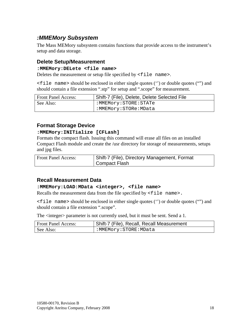# <span id="page-18-0"></span>*:MMEMory Subsystem*

The Mass MEMory subsystem contains functions that provide access to the instrument's setup and data storage.

# **Delete Setup/Measurement**

#### **:MMEMory:DELete <file name>**

Deletes the measurement or setup file specified by  $\le$  file name>.

<file name> should be enclosed in either single quotes ('') or double quotes ("") and should contain a file extension ".stp" for setup and ".scope" for measurement.

| <b>Front Panel Access:</b> | Shift-7 (File), Delete, Delete Selected File |
|----------------------------|----------------------------------------------|
| See Also:                  | :MMEMory:STORE:STATe                         |
|                            | :MMEMory:STORe:MData                         |

# **Format Storage Device**

#### **:MMEMory:INITialize [CFLash]**

Formats the compact flash. Issuing this command will erase all files on an installed Compact Flash module and create the /usr directory for storage of measurements, setups and jpg files.

| <b>Front Panel Access:</b> | Shift-7 (File), Directory Management, Format |
|----------------------------|----------------------------------------------|
|                            | Compact Flash                                |

# **Recall Measurement Data**

#### **:MMEMory:LOAD:MData <integer>, <file name>**

Recalls the measurement data from the file specified by <file name>.

<file name> should be enclosed in either single quotes ('') or double quotes ("") and should contain a file extension ".scope".

The  $\langle$  integer > parameter is not currently used, but it must be sent. Send a 1.

| <b>Front Panel Access:</b> | Shift-7 (File), Recall, Recall Measurement |
|----------------------------|--------------------------------------------|
| See Also:                  | :MMEMory:STORE:MData                       |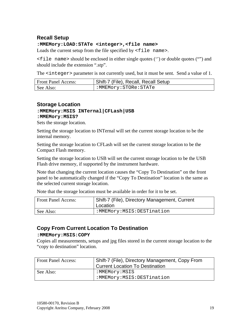# <span id="page-19-0"></span>**Recall Setup**

#### **:MMEMory:LOAD:STATe <integer>,<file name>**

Loads the current setup from the file specified by  $\le$  file name>.

<file name> should be enclosed in either single quotes ('') or double quotes ("") and should include the extension ".stp".

The <integer> parameter is not currently used, but it must be sent. Send a value of 1.

| <b>Front Panel Access:</b> | Shift-7 (File), Recall, Recall Setup |
|----------------------------|--------------------------------------|
| See Also:                  | :MMEMory:STORe:STATe                 |

# **Storage Location**

#### **:MMEMory:MSIS INTernal|CFLash|USB :MMEMory:MSIS?**

Sets the storage location.

Setting the storage location to INTernal will set the current storage location to be the internal memory.

Setting the storage location to CFLash will set the current storage location to be the Compact Flash memory.

Setting the storage location to USB will set the current storage location to be the USB Flash drive memory, if supported by the instrument hardware.

Note that changing the current location causes the "Copy To Destination" on the front panel to be automatically changed if the "Copy To Destination" location is the same as the selected current storage location.

Note that the storage location must be available in order for it to be set.

| <b>Front Panel Access:</b> | Shift-7 (File), Directory Management, Current<br>Location |
|----------------------------|-----------------------------------------------------------|
| See Also:                  | :MMEMory:MSIS:DESTination                                 |

# **Copy From Current Location To Destination**

#### **:MMEMory:MSIS:COPY**

Copies all measurements, setups and jpg files stored in the current storage location to the "copy to destination" location.

| <b>Front Panel Access:</b> | Shift-7 (File), Directory Management, Copy From<br>Current Location To Destination |
|----------------------------|------------------------------------------------------------------------------------|
| See Also:                  | :MMEMory:MSIS<br>:MMEMory:MSIS:DESTination                                         |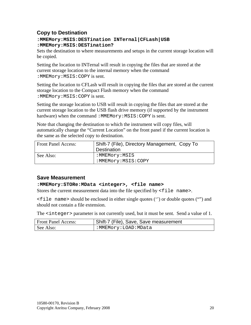# <span id="page-20-0"></span>**Copy to Destination**

#### **:MMEMory:MSIS:DESTination INTernal|CFLash|USB :MMEMory:MSIS:DESTination?**

Sets the destination to where measurements and setups in the current storage location will be copied.

Setting the location to INTernal will result in copying the files that are stored at the current storage location to the internal memory when the command :MMEMory:MSIS:COPY is sent.

Setting the location to CFLash will result in copying the files that are stored at the current storage location to the Compact Flash memory when the command :MMEMory:MSIS:COPY is sent.

Setting the storage location to USB will result in copying the files that are stored at the current storage location to the USB flash drive memory (if supported by the instrument hardware) when the command : MMEMory: MSIS: COPY is sent.

Note that changing the destination to which the instrument will copy files, will automatically change the "Current Location" on the front panel if the current location is the same as the selected copy to destination.

| <b>Front Panel Access:</b> | Shift-7 (File), Directory Management, Copy To<br>Destination |
|----------------------------|--------------------------------------------------------------|
| See Also:                  | :MMEMory:MSIS<br>:MMEMory:MSIS:COPY                          |

# **Save Measurement**

#### **:MMEMory:STORe:MData <integer>, <file name>**

Stores the current measurement data into the file specified by  $\le$  file name>.

<file name> should be enclosed in either single quotes ('') or double quotes ("") and should not contain a file extension.

The  $\leq$  integer > parameter is not currently used, but it must be sent. Send a value of 1.

| <b>Front Panel Access:</b> | Shift-7 (File), Save, Save measurement |
|----------------------------|----------------------------------------|
| See Also:                  | :MMEMory:LOAD:MData                    |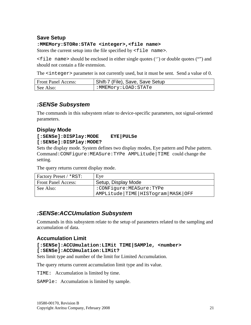# <span id="page-21-0"></span>**Save Setup**

#### **:MMEMory:STORe:STATe <integer>,<file name>**

Stores the current setup into the file specified by  $\le$  file name>.

<file name> should be enclosed in either single quotes ('') or double quotes ("") and should not contain a file extension.

The <integer> parameter is not currently used, but it must be sent. Send a value of 0.

| <b>Front Panel Access:</b> | Shift-7 (File), Save, Save Setup |
|----------------------------|----------------------------------|
| See Also:                  | :MMEMory:LOAD:STATe              |

# *:SENSe Subsystem*

The commands in this subsystem relate to device-specific parameters, not signal-oriented parameters.

# **Display Mode**

#### **[:SENSe]:DISPlay:MODE EYE|PULSe [:SENSe]:DISPlay:MODE?**

Sets the display mode. System defines two display modes, Eye pattern and Pulse pattern. Command:CONFigure:MEASure:TYPe AMPLitude|TIME could change the setting.

The query returns current display mode.

| Factory Preset / *RST:     | Eye                                       |
|----------------------------|-------------------------------------------|
| <b>Front Panel Access:</b> | Setup, Display Mode                       |
| See Also:                  | :CONFigure:MEASure:TYPe                   |
|                            | AMPLitude   TIME   HISTogram   MASK   OFF |

# *:SENSe:ACCUmulation Subsystem*

Commands in this subsystem relate to the setup of parameters related to the sampling and accumulation of data.

#### **Accumulation Limit**

#### **[:SENSe]:ACCUmulation:LIMit TIME|SAMPle, <number> [:SENSe]:ACCUmulation:LIMit?**

Sets limit type and number of the limit for Limited Accumulation.

The query returns current accumulation limit type and its value.

TIME: Accumulation is limited by time.

SAMPle: Accumulation is limited by sample.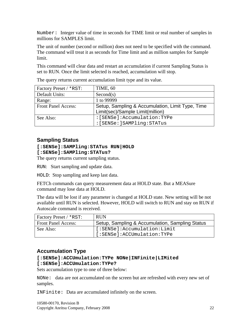<span id="page-22-0"></span>Number: Integer value of time in seconds for TIME limit or real number of samples in millions for SAMPLES limit.

The unit of number (second or million) does not need to be specified with the command. The command will treat it as seconds for Time limit and as million samples for Sample limit.

This command will clear data and restart an accumulation if current Sampling Status is set to RUN. Once the limit selected is reached, accumulation will stop.

| Factory Preset / *RST:     | TIME, 60                                         |
|----------------------------|--------------------------------------------------|
| Default Units:             | Second(s)                                        |
| Range:                     | 1 to 99999                                       |
| <b>Front Panel Access:</b> | Setup, Sampling & Accumulation, Limit Type, Time |
|                            | Limit(sec)/Sample Limit(million)                 |
| See Also:                  | : [SENSe]: Accumulation: TYPe                    |
|                            | : [SENSe: ] SAMPling: STATus                     |

The query returns current accumulation limit type and its value.

# **Sampling Status**

#### **[:SENSe]:SAMPling:STATus RUN|HOLD [:SENSe]:SAMPling:STATus?**

The query returns current sampling status.

RUN: Start sampling and update data.

HOLD: Stop sampling and keep last data.

FETCh commands can query measurement data at HOLD state. But a MEASure command may lose data at HOLD.

The data will be lost if any parameter is changed at HOLD state. New setting will be not available until RUN is selected. However, HOLD will switch to RUN and stay on RUN if Autoscale command is received.

| <b>Factory Preset / *RST:</b> | <b>RUN</b>                                      |
|-------------------------------|-------------------------------------------------|
| <b>Front Panel Access:</b>    | Setup, Sampling & Accumulation, Sampling Status |
| See Also:                     | [:SENSe]:Accumulation:Limit                     |
|                               | [:SENSe]:ACCUmulation:TYPe                      |

# **Accumulation Type**

#### **[:SENSe]:ACCUmulation:TYPe NONe|INFinite|LIMited [:SENSe]:ACCUmulation:TYPe?**

Sets accumulation type to one of three below:

NONe: data are not accumulated on the screen but are refreshed with every new set of samples.

INFinite: Data are accumulated infinitely on the screen.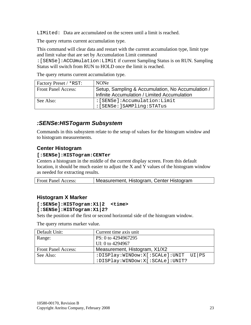<span id="page-23-0"></span>LIMited: Data are accumulated on the screen until a limit is reached.

The query returns current accumulation type.

This command will clear data and restart with the current accumulation type, limit type and limit value that are set by Accumulation Limit command

:[SENSe]:ACCUmulation:LIMit if current Sampling Status is on RUN. Sampling Status will switch from RUN to HOLD once the limit is reached.

The query returns current accumulation type.

| <b>Factory Preset / *RST:</b> | <b>NONe</b>                                       |
|-------------------------------|---------------------------------------------------|
| <b>Front Panel Access:</b>    | Setup, Sampling & Accumulation, No Accumulation / |
|                               | Infinite Accumulation / Limited Accumulation      |
| See Also:                     | :[SENSE]:Accumulation:Limit                       |
|                               | : [SENSe: ]SAMPling: STATus                       |

# *:SENSe:HISTogarm Subsystem*

Commands in this subsystem relate to the setup of values for the histogram window and to histogram measurements.

# **Center Histogram**

#### **[:SENSe]:HISTogram:CENTer**

Centers a histogram in the middle of the current display screen. From this default location, it should be much easier to adjust the X and Y values of the histogram window as needed for extracting results.

| Measurement, Histogram, Center Histogram<br><b>Front Panel Access:</b> |  |
|------------------------------------------------------------------------|--|
|------------------------------------------------------------------------|--|

#### **Histogram X Marker**

#### **[:SENSe]:HISTogram:X1|2 <time>**

#### **[:SENSe]:HISTogram:X1|2?**

Sets the position of the first or second horizontal side of the histogram window.

The query returns marker value.

| Default Unit:              | Current time axis unit               |
|----------------------------|--------------------------------------|
| Range:                     | PS: 0 to 4294967295                  |
|                            | UI: 0 to 4294967                     |
| <b>Front Panel Access:</b> | Measurement, Histogram, X1/X2        |
| See Also:                  | :DISPlay:WINDow:X[:SCALe]:UNIT UI PS |
|                            | :DISPlay:WINDow:X[:SCALe]:UNIT?      |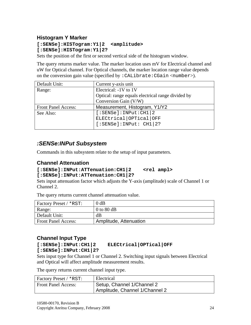# <span id="page-24-0"></span>**Histogram Y Marker**

**[:SENSe]:HISTogram:Y1|2 <amplitude> [:SENSe]:HISTogram:Y1|2?** 

Sets the position of the first or second vertical side of the histogram window.

The query returns marker value. The marker location uses mV for Electrical channel and uW for Optical channel. For Optical channels, the marker location range value depends on the conversion gain value (specified by : CALibrate: CGain  $\langle$ number>).

| Default Unit:              | Current y-axis unit                               |
|----------------------------|---------------------------------------------------|
| Range:                     | Electrical: -1V to 1V                             |
|                            | Optical: range equals electrical range divided by |
|                            | Conversion Gain (V/W)                             |
|                            |                                                   |
| <b>Front Panel Access:</b> | Measurement, Histogram, Y1/Y2                     |
| See Also:                  | [:SENSE]:INPut:CH1   2                            |
|                            | ELECtrical OPTical OFF                            |
|                            | [:SENSE]:INDEX: CH1   2?                          |

# *:SENSe:INPut Subsystem*

Commands in this subsystem relate to the setup of input parameters.

### **Channel Attenuation**

#### **[:SENSe]:INPut:ATTenuation:CH1|2 <rel ampl> [:SENSe]:INPut:ATTenuation:CH1|2?**

Sets input attenuation factor which adjusts the Y-axis (amplitude) scale of Channel 1 or Channel 2.

The query returns current channel attenuation value.

| <b>Factory Preset / *RST:</b> | $0$ dB                 |
|-------------------------------|------------------------|
| Range:                        | 0 to 80 $dB$           |
| Default Unit:                 | dB                     |
| <b>Front Panel Access:</b>    | Amplitude, Attenuation |

# **Channel Input Type**

```
[:SENSe]:INPut:CH1|2?
```
# **[:SENSe]:INPut:CH1|2 ELECtrical|OPTical|OFF**

Sets input type for Channel 1 or Channel 2. Switching input signals between Electrical and Optical will affect amplitude measurement results.

The query returns current channel input type.

| Factory Preset / *RST:     | Electrical                                                   |
|----------------------------|--------------------------------------------------------------|
| <b>Front Panel Access:</b> | Setup, Channel 1/Channel 2<br>Amplitude, Channel 1/Channel 2 |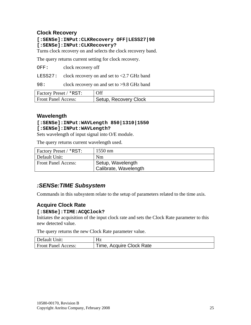# <span id="page-25-0"></span>**Clock Recovery**

#### **[:SENSe]:INPut:CLKRecovery OFF|LESS27|98 [:SENSe]:INPut:CLKRecovery?**

Turns clock recovery on and selects the clock recovery band.

The query returns current setting for clock recovery.

OFF: clock recovery off

LESS27: clock recovery on and set to <2.7 GHz band

98: clock recovery on and set to >9.8 GHz band

| Factory Preset / *RST:     | Off                   |
|----------------------------|-----------------------|
| <b>Front Panel Access:</b> | Setup, Recovery Clock |

#### **Wavelength**

#### **[:SENSe]:INPut:WAVLength 850|1310|1550 [:SENSe]:INPut:WAVLength?**

Sets wavelength of input signal into O/E module.

The query returns current wavelength used.

| <b>Factory Preset / *RST:</b> | $1550$ nm             |  |
|-------------------------------|-----------------------|--|
| Default Unit:                 | Nm                    |  |
| <b>Front Panel Access:</b>    | Setup, Wavelength     |  |
|                               | Calibrate, Wavelength |  |

# *:SENSe:TIME Subsystem*

Commands in this subsystem relate to the setup of parameters related to the time axis.

# **Acquire Clock Rate**

#### **[:SENSe]:TIME:ACQClock?**

Initiates the acquisition of the input clock rate and sets the Clock Rate parameter to this new detected value.

The query returns the new Clock Rate parameter value.

| Default Unit:              | Hz                       |
|----------------------------|--------------------------|
| <b>Front Panel Access:</b> | Time, Acquire Clock Rate |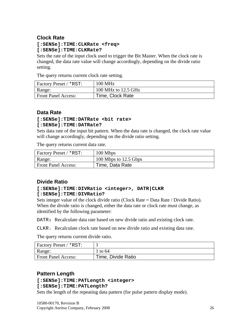# <span id="page-26-0"></span>**Clock Rate**

#### **[:SENSe]:TIME:CLKRate <freq> [:SENSe]:TIME:CLKRate?**

Sets the rate of the input clock used to trigger the Bit Master. When the clock rate is changed, the data rate value will change accordingly, depending on the divide ratio setting.

The query returns current clock rate setting.

| Factory Preset / *RST:     | <b>100 MHz</b>      |
|----------------------------|---------------------|
| Range:                     | 100 MHz to 12.5 GHz |
| <b>Front Panel Access:</b> | Time, Clock Rate    |

# **Data Rate**

#### **[:SENSe]:TIME:DATRate <bit rate> [:SENSe]:TIME:DATRate?**

Sets data rate of the input bit pattern. When the data rate is changed, the clock rate value will change accordingly, depending on the divide ratio setting.

The query returns current data rate.

| Factory Preset / *RST:     | 100 Mbps              |
|----------------------------|-----------------------|
| Range:                     | 100 Mbps to 12.5 Gbps |
| <b>Front Panel Access:</b> | Time, Data Rate       |

# **Divide Ratio**

#### **[:SENSe]:TIME:DIVRatio <integer>, DATR|CLKR [:SENSe]:TIME:DIVRatio?**

Sets integer value of the clock divide ratio (Clock Rate = Data Rate / Divide Ratio). When the divide ratio is changed, either the data rate or clock rate must change, as identified by the following parameter:

DATR**:** Recalculate data rate based on new divide ratio and existing clock rate.

CLKR: Recalculate clock rate based on new divide ratio and existing data rate.

The query returns current divide ratio.

| <b>Factory Preset / *RST:</b> |                    |
|-------------------------------|--------------------|
| Range:                        | 1 to 64            |
| <b>Front Panel Access:</b>    | Time, Divide Ratio |

# **Pattern Length**

#### **[:SENSe]:TIME:PATLength <integer>**

#### **[:SENSe]:TIME:PATLength?**

Sets the length of the repeating data pattern (for pulse pattern display mode).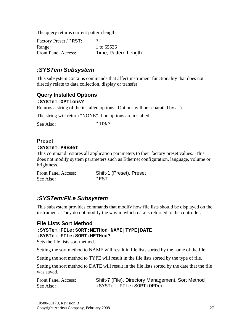<span id="page-27-0"></span>The query returns current pattern length.

| <b>Factory Preset / *RST:</b> | $\Omega$             |
|-------------------------------|----------------------|
| Range:                        | 1 to 65536           |
| <b>Front Panel Access:</b>    | Time, Pattern Length |

# *:SYSTem Subsystem*

This subsystem contains commands that affect instrument functionality that does not directly relate to data collection, display or transfer.

# **Query Installed Options**

#### **:SYSTem:OPTions?**

Returns a string of the installed options. Options will be separated by a "/".

The string will return "NONE" if no options are installed.

| $\mathbf{r}$<br>w.<br>້<br>- | ١N٠<br> |
|------------------------------|---------|
|                              |         |

#### **Preset**

#### **:SYSTem:PRESet**

This command restores all application parameters to their factory preset values. This does not modify system parameters such as Ethernet configuration, language, volume or brightness.

| <b>Front Panel Access:</b> | Shift-1 (Preset), Preset |
|----------------------------|--------------------------|
| See Also:                  | *RST                     |

# *:SYSTem:FILe Subsystem*

This subsystem provides commands that modify how file lists should be displayed on the instrument. They do not modify the way in which data is returned to the controller.

#### **File Lists Sort Method**

#### **:SYSTem:FILe:SORT:METHod NAME|TYPE|DATE**

**:SYSTem:FILe:SORT:METHod?** 

Sets the file lists sort method.

Setting the sort method to NAME will result in file lists sorted by the name of the file.

Setting the sort method to TYPE will result in the file lists sorted by the type of file.

Setting the sort method to DATE will result in the file lists sorted by the date that the file was saved.

| <b>Front Panel Access:</b> | Shift-7 (File), Directory Management, Sort Method |
|----------------------------|---------------------------------------------------|
| See Also:                  | $:$ SYSTem: FILe: SORT: ORDer                     |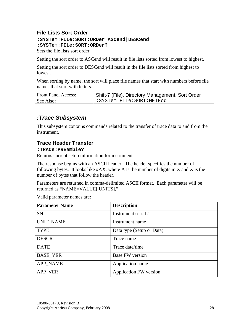# <span id="page-28-0"></span>**File Lists Sort Order**

**:SYSTem:FILe:SORT:ORDer ASCend|DESCend :SYSTem:FILe:SORT:ORDer?** 

Sets the file lists sort order.

Setting the sort order to ASCend will result in file lists sorted from lowest to highest.

Setting the sort order to DESCend will result in the file lists sorted from highest to lowest.

When sorting by name, the sort will place file names that start with numbers before file names that start with letters.

| <b>Front Panel Access:</b> | Shift-7 (File), Directory Management, Sort Order |
|----------------------------|--------------------------------------------------|
| See Also:                  | :SYSTem:FILe:SORT:METHod:                        |

# *:Trace Subsystem*

This subsystem contains commands related to the transfer of trace data to and from the instrument.

# **Trace Header Transfer**

#### **:TRACe:PREamble?**

Returns current setup information for instrument.

The response begins with an ASCII header. The header specifies the number of following bytes. It looks like  $#AX$ , where A is the number of digits in X and X is the number of bytes that follow the header.

Parameters are returned in comma-delimited ASCII format. Each parameter will be returned as "NAME=VALUE[ UNITS],"

Valid parameter names are:

| <b>Parameter Name</b> | <b>Description</b>            |
|-----------------------|-------------------------------|
| <b>SN</b>             | Instrument serial #           |
| <b>UNIT_NAME</b>      | Instrument name               |
| <b>TYPE</b>           | Data type (Setup or Data)     |
| <b>DESCR</b>          | Trace name                    |
| <b>DATE</b>           | Trace date/time               |
| <b>BASE_VER</b>       | <b>Base FW</b> version        |
| <b>APP_NAME</b>       | Application name              |
| APP VER               | <b>Application FW version</b> |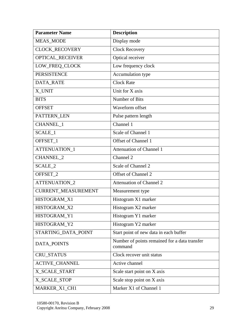| <b>Parameter Name</b>      | <b>Description</b>                                       |
|----------------------------|----------------------------------------------------------|
| MEAS_MODE                  | Display mode                                             |
| <b>CLOCK RECOVERY</b>      | <b>Clock Recovery</b>                                    |
| OPTICAL_RECEIVER           | Optical receiver                                         |
| LOW_FREQ_CLOCK             | Low frequency clock                                      |
| <b>PERSISTENCE</b>         | Accumulation type                                        |
| <b>DATA RATE</b>           | <b>Clock Rate</b>                                        |
| X_UNIT                     | Unit for X axis                                          |
| <b>BITS</b>                | Number of Bits                                           |
| <b>OFFSET</b>              | Waveform offset                                          |
| PATTERN_LEN                | Pulse pattern length                                     |
| CHANNEL_1                  | Channel 1                                                |
| SCALE_1                    | Scale of Channel 1                                       |
| OFFSET_1                   | <b>Offset of Channel 1</b>                               |
| ATTENUATION_1              | <b>Attenuation of Channel 1</b>                          |
| <b>CHANNEL 2</b>           | Channel 2                                                |
| SCALE_2                    | Scale of Channel 2                                       |
| OFFSET_2                   | Offset of Channel 2                                      |
| ATTENUATION_2              | <b>Attenuation of Channel 2</b>                          |
| <b>CURRENT_MEASUREMENT</b> | Measurement type                                         |
| HISTOGRAM X1               | Histogram X1 marker                                      |
| HISTOGRAM_X2               | Histogram X2 marker                                      |
| HISTOGRAM_Y1               | Histogram Y1 marker                                      |
| HISTOGRAM_Y2               | Histogram Y2 marker                                      |
| STARTING_DATA_POINT        | Start point of new data in each buffer                   |
| DATA_POINTS                | Number of points remained for a data transfer<br>command |
| <b>CRU_STATUS</b>          | Clock recover unit status                                |
| <b>ACTIVE_CHANNEL</b>      | Active channel                                           |
| X_SCALE_START              | Scale start point on X axis                              |
| X_SCALE_STOP               | Scale stop point on X axis                               |
| MARKER_X1_CH1              | Marker X1 of Channel 1                                   |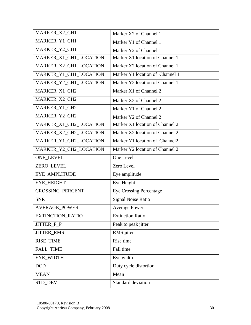| MARKER_X2_CH1           | Marker X2 of Channel 1          |
|-------------------------|---------------------------------|
| MARKER_Y1_CH1           | Marker Y1 of Channel 1          |
| MARKER_Y2_CH1           | Marker Y2 of Channel 1          |
| MARKER_X1_CH1_LOCATION  | Marker X1 location of Channel 1 |
| MARKER_X2_CH1_LOCATION  | Marker X2 location of Channel 1 |
| MARKER_Y1_CH1_LOCATION  | Marker Y1 location of Channel 1 |
| MARKER_Y2_CH1_LOCATION  | Marker Y2 location of Channel 1 |
| MARKER_X1_CH2           | Marker X1 of Channel 2          |
| MARKER_X2_CH2           | Marker X2 of Channel 2          |
| MARKER_Y1_CH2           | Marker Y1 of Channel 2          |
| MARKER_Y2_CH2           | Marker Y2 of Channel 2          |
| MARKER X1 CH2 LOCATION  | Marker X1 location of Channel 2 |
| MARKER_X2_CH2_LOCATION  | Marker X2 location of Channel 2 |
| MARKER_Y1_CH2_LOCATION  | Marker Y1 location of Channel2  |
| MARKER_Y2_CH2_LOCATION  | Marker Y2 location of Channel 2 |
| <b>ONE_LEVEL</b>        | One Level                       |
| ZERO_LEVEL              | Zero Level                      |
| EYE_AMPLITUDE           | Eye amplitude                   |
| <b>EYE_HEIGHT</b>       | Eye Height                      |
| <b>CROSSING_PERCENT</b> | <b>Eye Crossing Percentage</b>  |
| <b>SNR</b>              | <b>Signal Noise Ratio</b>       |
| <b>AVERAGE_POWER</b>    | <b>Average Power</b>            |
| <b>EXTINCTION_RATIO</b> | <b>Extinction Ratio</b>         |
| JITTER_P_P              | Peak to peak jitter             |
| <b>JITTER_RMS</b>       | RMS jitter                      |
| RISE_TIME               | Rise time                       |
| <b>FALL_TIME</b>        | Fall time                       |
| EYE_WIDTH               | Eye width                       |
| <b>DCD</b>              | Duty cycle distortion           |
| <b>MEAN</b>             | Mean                            |
| STD_DEV                 | Standard deviation              |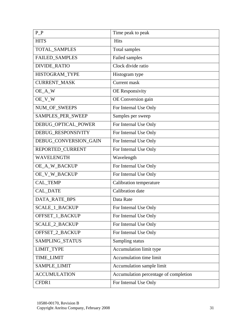| $P_P$                 | Time peak to peak                     |
|-----------------------|---------------------------------------|
| <b>HITS</b>           | <b>Hits</b>                           |
| <b>TOTAL SAMPLES</b>  | Total samples                         |
| <b>FAILED_SAMPLES</b> | Failed samples                        |
| <b>DIVIDE_RATIO</b>   | Clock divide ratio                    |
| HISTOGRAM_TYPE        | Histogram type                        |
| <b>CURRENT_MASK</b>   | <b>Current</b> mask                   |
| OE_A_W                | <b>OE</b> Responsivity                |
| OE_V_W                | OE Conversion gain                    |
| NUM_OF_SWEEPS         | For Internal Use Only                 |
| SAMPLES_PER_SWEEP     | Samples per sweep                     |
| DEBUG_OPTICAL_POWER   | For Internal Use Only                 |
| DEBUG_RESPONSIVITY    | For Internal Use Only                 |
| DEBUG_CONVERSION_GAIN | For Internal Use Only                 |
| REPORTED_CURRENT      | For Internal Use Only                 |
| <b>WAVELENGTH</b>     | Wavelength                            |
| OE_A_W_BACKUP         | For Internal Use Only                 |
| OE_V_W_BACKUP         | For Internal Use Only                 |
| CAL_TEMP              | Calibration temperature               |
| CAL_DATE              | Calibration date                      |
| DATA_RATE_BPS         | Data Rate                             |
| <b>SCALE_1_BACKUP</b> | For Internal Use Only                 |
| OFFSET_1_BACKUP       | For Internal Use Only                 |
| <b>SCALE 2 BACKUP</b> | For Internal Use Only                 |
| OFFSET_2_BACKUP       | For Internal Use Only                 |
| SAMPLING_STATUS       | Sampling status                       |
| <b>LIMIT_TYPE</b>     | Accumulation limit type               |
| TIME_LIMIT            | Accumulation time limit               |
| SAMPLE_LIMIT          | Accumulation sample limit             |
| <b>ACCUMULATION</b>   | Accumulation percentage of completion |
| CFDR1                 | For Internal Use Only                 |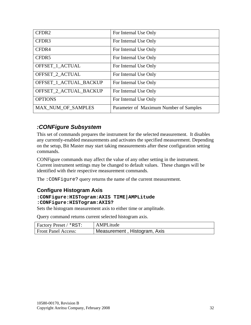<span id="page-32-0"></span>

| CFDR2                     | For Internal Use Only                  |
|---------------------------|----------------------------------------|
| CFDR3                     | For Internal Use Only                  |
| CFDR4                     | For Internal Use Only                  |
| CFDR5                     | For Internal Use Only                  |
| OFFSET 1 ACTUAL           | For Internal Use Only                  |
| OFFSET_2_ACTUAL           | For Internal Use Only                  |
| OFFSET 1 ACTUAL BACKUP    | For Internal Use Only                  |
| OFFSET 2 ACTUAL BACKUP    | For Internal Use Only                  |
| <b>OPTIONS</b>            | For Internal Use Only                  |
| <b>MAX NUM OF SAMPLES</b> | Parameter of Maximum Number of Samples |

# *:CONFigure Subsystem*

This set of commands prepares the instrument for the selected measurement. It disables any currently-enabled measurements and activates the specified measurement. Depending on the setup, Bit Master may start taking measurements after these configuration setting commands.

CONFigure commands may affect the value of any other setting in the instrument. Current instrument settings may be changed to default values. These changes will be identified with their respective measurement commands.

The : CONFigure? query returns the name of the current measurement.

# **Configure Histogram Axis**

#### **:CONFigure:HISTogram:AXIS TIME|AMPLitude :CONFigure:HISTogram:AXIS?**

Sets the histogram measurement axis to either time or amplitude.

Query command returns current selected histogram axis.

| <b>Factory Preset / *RST:</b> | AMPLitude                    |
|-------------------------------|------------------------------|
| <b>Front Panel Access:</b>    | Measurement, Histogram, Axis |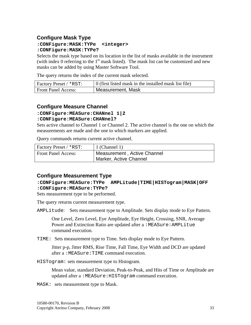# <span id="page-33-0"></span>**Configure Mask Type**

#### **:CONFigure:MASK:TYPe <integer> :CONFigure:MASK:TYPe?**

Selects the mask type based on its location in the list of masks available in the instrument (with index 0 referring to the  $1<sup>st</sup>$  mask listed). The mask list can be customized and new masks can be added by using Master Software Tool.

The query returns the index of the current mask selected.

| Factory Preset / *RST:     | $\vert$ 0 (first listed mask in the installed mask list file) |
|----------------------------|---------------------------------------------------------------|
| <b>Front Panel Access:</b> | Measurement, Mask                                             |

# **Configure Measure Channel**

#### **:CONFigure:MEASure:CHANnel 1|2**

#### **:CONFigure:MEASure:CHANnel?**

Sets active channel to Channel 1 or Channel 2. The active channel is the one on which the measurements are made and the one to which markers are applied.

Query commands returns current active channel.

| <b>Factory Preset / *RST:</b> | 1 (Channel 1)               |
|-------------------------------|-----------------------------|
| <b>Front Panel Access:</b>    | Measurement, Active Channel |
|                               | Marker, Active Channel      |

#### **Configure Measurement Type**

#### **:CONFigure:MEASure:TYPe AMPLitude|TIME|HISTogram|MASK|OFF :CONFigure:MEASure:TYPe?**

Sets measurement type to be performed.

The query returns current measurement type.

AMPLitude: Sets measurement type to Amplitude. Sets display mode to Eye Pattern.

One Level, Zero Level, Eye Amplitude, Eye Height, Crossing, SNR, Average Power and Extinction Ratio are updated after a :MEASure: AMPLitue command execution.

TIME: Sets measurement type to Time. Sets display mode to Eye Pattern.

Jitter p-p, Jitter RMS, Rise Time, Fall Time, Eye Width and DCD are updated after a :MEASure:TIME command execution.

HISTogram: sets measurement type to Histogram.

Mean value, standard Deviation, Peak-to-Peak, and Hits of Time or Amplitude are updated after a :MEASure:HISTogram command execution.

MASK: sets measurement type to Mask.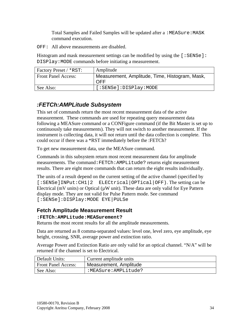Total Samples and Failed Samples will be updated after a :MEASure:MASK command execution.

<span id="page-34-0"></span>OFF: All above measurements are disabled.

Histogram and mask measurement settings can be modified by using the  $[$ : SENSe]: DISPlay:MODE commands before initiating a measurement.

| Factory Preset / *RST:     | Amplitude                                             |
|----------------------------|-------------------------------------------------------|
| <b>Front Panel Access:</b> | Measurement, Amplitude, Time, Histogram, Mask,<br>OFF |
| See Also:                  | [:SENSe]:DISPlay:MODE                                 |

# *:FETCh:AMPLitude Subsystem*

This set of commands return the most recent measurement data of the active measurement. These commands are used for repeating query measurement data following a MEASure command or a CONFigure command (if the Bit Master is set up to continuously take measurements). They will not switch to another measurement. If the instrument is collecting data, it will not return until the data collection is complete. This could occur if there was a \*RST immediately before the :FETCh?

To get new measurement data, use the MEASure command.

Commands in this subsystem return most recent measurement data for amplitude measurements. The command:FETCh:AMPLitude? returns eight measurement results. There are eight more commands that can return the eight results individually.

The units of a result depend on the current setting of the active channel (specified by [:SENSe]INPut:CH1|2 ELECtrical|OPTical|OFF). The setting can be Electrical ( $mV$  units) or Optical ( $\mu W$  unit). These data are only valid for Eye Pattern display mode. They are not valid for Pulse Pattern mode. See command [:SENSe]:DISPlay:MODE EYE|PULSe

# **Fetch Amplitude Measurement Result**

#### **:FETCh:AMPLitude:MEASurement?**

Returns the most recent results for all the amplitude measurements.

Data are returned as 8 comma-separated values: level one, level zero, eye amplitude, eye height, crossing, SNR, average power and extinction ratio.

Average Power and Extinction Ratio are only valid for an optical channel. "N/A" will be returned if the channel is set to Electrical.

| Default Units:             | Current amplitude units |
|----------------------------|-------------------------|
| <b>Front Panel Access:</b> | Measurement, Amplitude  |
| See Also:                  | :MEASure:AMPLitude?     |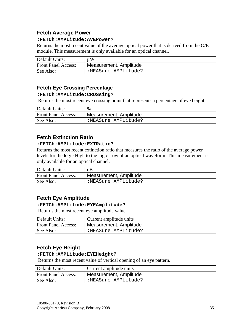# <span id="page-35-0"></span>**Fetch Average Power**

#### **:FETCh:AMPLitude:AVEPower?**

Returns the most recent value of the average optical power that is derived from the O/E module. This measurement is only available for an optical channel.

| Default Units:             | иW                     |
|----------------------------|------------------------|
| <b>Front Panel Access:</b> | Measurement, Amplitude |
| See Also:                  | :MEASure:AMPLitude?    |

# **Fetch Eye Crossing Percentage**

#### **:FETCh:AMPLitude:CROSsing?**

Returns the most recent eye crossing point that represents a percentage of eye height.

| Default Units:             | %                      |
|----------------------------|------------------------|
| <b>Front Panel Access:</b> | Measurement, Amplitude |
| See Also:                  | :MEASure:AMPLitude?    |

# **Fetch Extinction Ratio**

#### **:FETCh:AMPLitude:EXTRatio?**

Returns the most recent extinction ratio that measures the ratio of the average power levels for the logic High to the logic Low of an optical waveform. This measurement is only available for an optical channel.

| Default Units:             | dB                     |
|----------------------------|------------------------|
| <b>Front Panel Access:</b> | Measurement, Amplitude |
| See Also:                  | :MEASure:AMPLitude?    |

# **Fetch Eye Amplitude**

#### **:FETCh:AMPLitude:EYEAmplitude?**

Returns the most recent eye amplitude value.

| Default Units:             | Current amplitude units |
|----------------------------|-------------------------|
| <b>Front Panel Access:</b> | Measurement, Amplitude  |
| See Also:                  | :MEASure:AMPLitude?     |

# **Fetch Eye Height**

#### **:FETCh:AMPLitude:EYEHeight?**

Returns the most recent value of vertical opening of an eye pattern.

| Default Units:             | Current amplitude units |
|----------------------------|-------------------------|
| <b>Front Panel Access:</b> | Measurement, Amplitude  |
| See Also:                  | :MEASure:AMPLitude?     |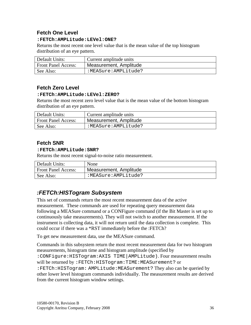# <span id="page-36-0"></span>**Fetch One Level**

#### **:FETCh:AMPLitude:LEVel:ONE?**

Returns the most recent one level value that is the mean value of the top histogram distribution of an eye pattern.

| Default Units:             | Current amplitude units |
|----------------------------|-------------------------|
| <b>Front Panel Access:</b> | Measurement, Amplitude  |
| See Also:                  | :MEASure:AMPLitude?     |

# **Fetch Zero Level**

#### **:FETCh:AMPLitude:LEVel:ZERO?**

Returns the most recent zero level value that is the mean value of the bottom histogram distribution of an eye pattern.

| Default Units:             | Current amplitude units |
|----------------------------|-------------------------|
| <b>Front Panel Access:</b> | Measurement, Amplitude  |
| See Also:                  | :MEASure:AMPLitude?     |

# **Fetch SNR**

#### **:FETCh:AMPLitude:SNR?**

Returns the most recent signal-to-noise ratio measurement.

| Default Units:             | None                   |
|----------------------------|------------------------|
| <b>Front Panel Access:</b> | Measurement, Amplitude |
| See Also:                  | :MEASure:AMPLitude?    |

# *:FETCh:HISTogram Subsystem*

This set of commands return the most recent measurement data of the active measurement. These commands are used for repeating query measurement data following a MEASure command or a CONFigure command (if the Bit Master is set up to continuously take measurements). They will not switch to another measurement. If the instrument is collecting data, it will not return until the data collection is complete. This could occur if there was a \*RST immediately before the :FETCh?

To get new measurement data, use the MEASure command.

Commands in this subsystem return the most recent measurement data for two histogram measurements, histogram time and histogram amplitude (specified by :CONFigure:HISTogram:AXIS TIME|AMPLitude). Four measurement results will be returned by :FETCh:HISTogram:TIME:MEASurement? or :FETCh:HISTogram: AMPLitude:MEASurement? They also can be queried by other lower level histogram commands individually. The measurement results are derived

from the current histogram window settings.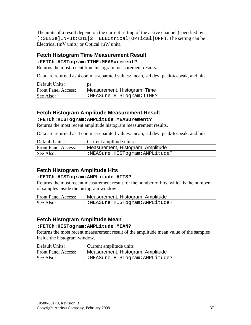<span id="page-37-0"></span>The units of a result depend on the current setting of the active channel (specified by [:SENSe]INPut:CH1|2 ELECtrical|OPTical|OFF). The setting can be Electrical ( $mV$  units) or Optical ( $\mu W$  unit).

# **Fetch Histogram Time Measurement Result**

#### **:FETCh:HISTogram:TIME:MEASurement?**

Returns the most recent time histogram measurement results.

Data are returned as 4 comma-separated values: mean, std dev, peak-to-peak, and hits.

| Default Units:             | рs                           |
|----------------------------|------------------------------|
| <b>Front Panel Access:</b> | Measurement, Histogram, Time |
| See Also:                  | :MEASure:HISTogram:TIME?     |

# **Fetch Histogram Amplitude Measurement Result**

#### **:FETCh:HISTogram:AMPLitude:MEASurement?**

Returns the most recent amplitude histogram measurement results.

Data are returned as 4 comma-separated values: mean, std dev, peak-to-peak, and hits.

| Default Units:             | Current amplitude units           |
|----------------------------|-----------------------------------|
| <b>Front Panel Access:</b> | Measurement, Histogram, Amplitude |
| See Also:                  | :MEASure:HISTogram:AMPLitude?     |

# **Fetch Histogram Amplitude Hits**

#### **:FETCh:HISTogram:AMPLitude:HITS?**

Returns the most recent measurement result for the number of hits, which is the number of samples inside the histogram window.

| <b>Front Panel Access:</b> | Measurement, Histogram, Amplitude |
|----------------------------|-----------------------------------|
| See Also:                  | :MEASure:HISTogram:AMPLitude?     |

# **Fetch Histogram Amplitude Mean**

#### **:FETCh:HISTogram:AMPLitude:MEAN?**

Returns the most recent measurement result of the amplitude mean value of the samples inside the histogram window.

| Default Units:             | Current amplitude units           |
|----------------------------|-----------------------------------|
| <b>Front Panel Access:</b> | Measurement, Histogram, Amplitude |
| See Also:                  | :MEASure:HISTogram:AMPLitude?     |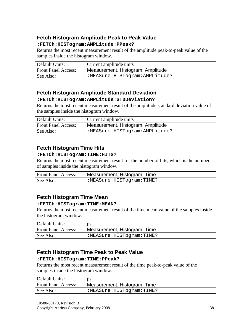# <span id="page-38-0"></span>**Fetch Histogram Amplitude Peak to Peak Value**

#### **:FETCh:HISTogram:AMPLitude:PPeak?**

Returns the most recent measurement result of the amplitude peak-to-peak value of the samples inside the histogram window.

| Default Units:             | Current amplitude units           |
|----------------------------|-----------------------------------|
| <b>Front Panel Access:</b> | Measurement, Histogram, Amplitude |
| See Also:                  | :MEASure:HISTogram:AMPLitude?     |

# **Fetch Histogram Amplitude Standard Deviation**

#### **:FETCh:HISTogram:AMPLitude:STDDeviation?**

Returns the most recent measurement result of the amplitude standard deviation value of the samples inside the histogram window.

| Default Units:             | Current amplitude units                  |
|----------------------------|------------------------------------------|
| <b>Front Panel Access:</b> | <b>Neasurement, Histogram, Amplitude</b> |
| See Also:                  | :MEASure:HISTogram:AMPLitude?            |

# **Fetch Histogram Time Hits**

#### **:FETCh:HISTogram:TIME:HITS?**

Returns the most recent measurement result for the number of hits, which is the number of samples inside the histogram window.

| <b>Front Panel Access:</b> | Measurement, Histogram, Time |
|----------------------------|------------------------------|
| See Also:                  | :MEASure:HISTogram:TIME?     |

# **Fetch Histogram Time Mean**

#### **:FETCh:HISTogram:TIME:MEAN?**

Returns the most recent measurement result of the time mean value of the samples inside the histogram window.

| Default Units:             | рs                           |
|----------------------------|------------------------------|
| <b>Front Panel Access:</b> | Measurement, Histogram, Time |
| See Also:                  | :MEASure:HISTogram:TIME?     |

# **Fetch Histogram Time Peak to Peak Value**

#### **:FETCh:HISTogram:TIME:PPeak?**

Returns the most recent measurement result of the time peak-to-peak value of the samples inside the histogram window.

| Default Units:             | ps                           |
|----------------------------|------------------------------|
| <b>Front Panel Access:</b> | Measurement, Histogram, Time |
| See Also:                  | :MEASure:HISTogram:TIME?     |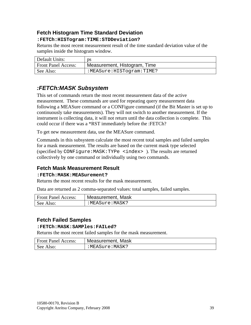# <span id="page-39-0"></span>**Fetch Histogram Time Standard Deviation**

#### **:FETCh:HISTogram:TIME:STDDeviation?**

Returns the most recent measurement result of the time standard deviation value of the samples inside the histogram window.

| Default Units:             | ps                           |
|----------------------------|------------------------------|
| <b>Front Panel Access:</b> | Measurement, Histogram, Time |
| See Also:                  | :MEASure:HISTogram:TIME?     |

# *:FETCh:MASK Subsystem*

This set of commands return the most recent measurement data of the active measurement. These commands are used for repeating query measurement data following a MEASure command or a CONFigure command (if the Bit Master is set up to continuously take measurements). They will not switch to another measurement. If the instrument is collecting data, it will not return until the data collection is complete. This could occur if there was a \*RST immediately before the :FETCh?

To get new measurement data, use the MEASure command.

Commands in this subsystem calculate the most recent total samples and failed samples for a mask measurement. The results are based on the current mask type selected (specified by CONFigure:MASK:TYPe <index> ). The results are returned collectively by one command or individually using two commands.

# **Fetch Mask Measurement Result**

#### **:FETCh:MASK:MEASurement?**

Returns the most recent results for the mask measurement.

Data are returned as 2 comma-separated values: total samples, failed samples.

| <b>Front Panel Access:</b> | Measurement, Mask |
|----------------------------|-------------------|
| See Also:                  | :MEASure:MASK?    |

# **Fetch Failed Samples**

#### **:FETCh:MASK:SAMPles:FAILed?**

Returns the most recent failed samples for the mask measurement.

| <b>Front Panel Access:</b> | Measurement, Mask |
|----------------------------|-------------------|
| See Also:                  | :MEASure:MASK?    |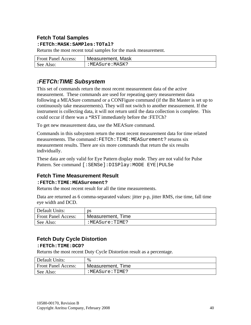# <span id="page-40-0"></span>**Fetch Total Samples**

#### **:FETCh:MASK:SAMPles:TOTal?**

Returns the most recent total samples for the mask measurement.

| <b>Front Panel Access:</b> | Measurement, Mask |
|----------------------------|-------------------|
| See Also:                  | :MEASure:MASK?    |

# *:FETCh:TIME Subsystem*

This set of commands return the most recent measurement data of the active measurement. These commands are used for repeating query measurement data following a MEASure command or a CONFigure command (if the Bit Master is set up to continuously take measurements). They will not switch to another measurement. If the instrument is collecting data, it will not return until the data collection is complete. This could occur if there was a \*RST immediately before the :FETCh?

To get new measurement data, use the MEASure command.

Commands in this subsystem return the most recent measurement data for time related measurements. The command:FETCh:TIME:MEASurement? returns six measurement results. There are six more commands that return the six results individually.

These data are only valid for Eye Pattern display mode. They are not valid for Pulse Pattern. See command [:SENSe]:DISPlay:MODE EYE|PULSe

# **Fetch Time Measurement Result**

#### **:FETCh:TIME:MEASurement?**

Returns the most recent result for all the time measurements.

Data are returned as 6 comma-separated values: jitter p-p, jitter RMS, rise time, fall time eye width and DCD.

| Default Units:             | ĎS                |
|----------------------------|-------------------|
| <b>Front Panel Access:</b> | Measurement, Time |
| See Also:                  | :MEASure:TIME?    |

# **Fetch Duty Cycle Distortion**

#### **:FETCh:TIME:DCD?**

Returns the most recent Duty Cycle Distortion result as a percentage.

| Default Units:             | %                 |
|----------------------------|-------------------|
| <b>Front Panel Access:</b> | Measurement, Time |
| See Also:                  | :MEASure:TIME?    |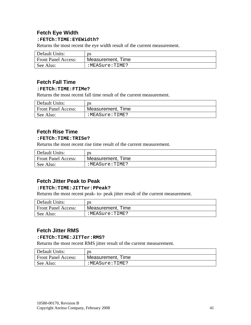# <span id="page-41-0"></span>**Fetch Eye Width**

#### **:FETCh:TIME:EYEWidth?**

Returns the most recent the eye width result of the current measurement.

| Default Units:             | рs                |
|----------------------------|-------------------|
| <b>Front Panel Access:</b> | Measurement, Time |
| See Also:                  | :MEASure:TIME?    |

## **Fetch Fall Time**

#### **:FETCh:TIME:FTIMe?**

Returns the most recent fall time result of the current measurement.

| Default Units:             | ĎS                |
|----------------------------|-------------------|
| <b>Front Panel Access:</b> | Measurement, Time |
| See Also:                  | :MEASure:TIME?    |

# **Fetch Rise Time**

#### **:FETCh:TIME:TRISe?**

Returns the most recent rise time result of the current measurement.

| Default Units:             | ĎS                |
|----------------------------|-------------------|
| <b>Front Panel Access:</b> | Measurement, Time |
| See Also:                  | :MEASure:TIME?    |

# **Fetch Jitter Peak to Peak**

#### **:FETCh:TIME:JITTer:PPeak?**

Returns the most recent peak- to- peak jitter result of the current measurement.

| Default Units:             | ĎS                |
|----------------------------|-------------------|
| <b>Front Panel Access:</b> | Measurement, Time |
| See Also:                  | :MEASure:TIME?    |

#### **Fetch Jitter RMS**

#### **:FETCh:TIME:JITTer:RMS?**

Returns the most recent RMS jitter result of the current measurement.

| Default Units:             | рs                |
|----------------------------|-------------------|
| <b>Front Panel Access:</b> | Measurement, Time |
| See Also:                  | :MEASure:TIME?    |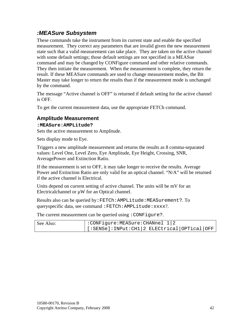# <span id="page-42-0"></span>*:MEASure Subsystem*

These commands take the instrument from its current state and enable the specified measurement. They correct any parameters that are invalid given the new measurement state such that a valid measurement can take place. They are taken on the active channel with some default settings; those default settings are not specified in a MEASue command and may be changed by CONFigure command and other relative commands. They then initiate the measurement. When the measurement is complete, they return the result. If these MEASure commands are used to change measurement modes, the Bit Master may take longer to return the results than if the measurement mode is unchanged by the command.

The message "Active channel is OFF" is returned if default setting for the active channel is OFF.

To get the current measurement data, use the appropriate FETCh command.

# **Amplitude Measurement**

#### **:MEASure:AMPLitude?**

Sets the active measurement to Amplitude.

Sets display mode to Eye.

Triggers a new amplitude measurement and returns the results as 8 comma-separated values: Level One, Level Zero, Eye Amplitude, Eye Height, Crossing, SNR, AveragePower and Extinction Ratio.

If the measurement is set to OFF, it may take longer to receive the results. Average Power and Extinction Ratio are only valid for an optical channel. "N/A" will be returned if the active channel is Electrical.

Units depend on current setting of active channel. The units will be mV for an Electricalchannel or  $\mu$ W for an Optical channel.

Results also can be queried by:FETCh:AMPLitude:MEASurement?. To queryspecific data, see command: FETCh: AMPLitude: xxxx?.

The current measurement can be queried using : CONFigure?.

| See Also: | :CONFigure:MEASure:CHANnel 1 2              |  |  |
|-----------|---------------------------------------------|--|--|
|           | [:SENSe]:INPut:CH1 2 ELECtrical OPTical OFF |  |  |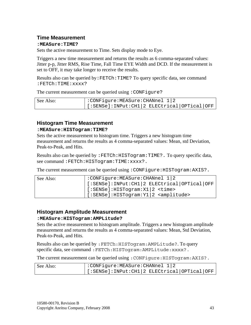#### <span id="page-43-0"></span>**Time Measurement**

#### **:MEASure:TIME?**

Sets the active measurement to Time. Sets display mode to Eye.

Triggers a new time measurement and returns the results as 6 comma-separated values: Jitter p-p, Jitter RMS, Rise Time, Fall Time EYE Width and DCD. If the measurement is set to OFF, it may take longer to receive the results.

Results also can be queried by: FETCh: TIME? To query specific data, see command :FETCh:TIME:xxxx?

The current measurement can be queried using : CONFigure?

| See Also: | :CONFigure:MEASure:CHANnel 1 2                              |  |  |
|-----------|-------------------------------------------------------------|--|--|
|           | $\vert$ [:SENSe]: INPut: CH1   2 ELECtrical   OPTical   OFF |  |  |

#### **Histogram Time Measurement**

#### **:MEASure:HISTogram:TIME?**

Sets the active measurement to histogram time. Triggers a new histogram time measurement and returns the results as 4 comma-separated values: Mean, std Deviation, Peak-to-Peak, and Hits.

Results also can be queried by :FETCh:HISTogram:TIME?. To query specific data, see command: FETCh: HISTogram: TIME: xxxx?.

The current measurement can be queried using : CONFigure: HISTogram: AXIS?.

| See Also: | :CONFigure:MEASure:CHANnel 1 2                          |  |
|-----------|---------------------------------------------------------|--|
|           | [:SENSe]: INPut: CH1   2 ELECtrical   OPTical   OFF     |  |
|           | $\vert$ [:SENSe]:HISTogram:X1 2 <time></time>           |  |
|           | $\vert$ [:SENSe]:HISTogram:Y1 2 <amplitude></amplitude> |  |

#### **Histogram Amplitude Measurement**

#### **:MEASure:HISTogram:AMPLitude?**

Sets the active measurement to histogram amplitude. Triggers a new histogram amplitude measurement and returns the results as 4 comma-separated values: Mean, Std Deviation, Peak-to-Peak, and Hits.

Results also can be queried by: FETCh: HISTogram: AMPLitude?. To query specific data, see command: FETCh: HISTogram: AMPLitude: xxxx?.

The current measurement can be queried using : CONFigure: HISTogram: AXIS?.

| See Also: | :CONFigure:MEASure:CHANnel 1 2                  |  |  |
|-----------|-------------------------------------------------|--|--|
|           | $ $ [:SENSe]:INPut:CH1 2 ELECtrical OPTical OFF |  |  |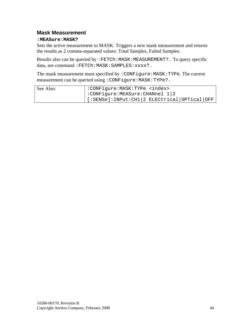#### <span id="page-44-0"></span>**Mask Measurement**

#### **:MEASure:MASK?**

Sets the active measurement to MASK. Triggers a new mask measurement and returns the results as 2 comma-separated values: Total Samples, Failed Samples.

Results also can be queried by : FETCh: MASK: MEASUREMENT? . To query specific data, see command: FETCh: MASK: SAMPLES: xxxx?.

The mask measurement must specified by : CONFigure: MASK: TYPe. The current measurement can be queried using : CONFigure: MASK: TYPe?.

| See Also: | : CONFigure: MASK: TYPe <index></index>     |
|-----------|---------------------------------------------|
|           | :CONFigure:MEASure:CHANnel 1 2              |
|           | [:SENSe]:INPut:CH1 2 ELECtrical OPTical OFF |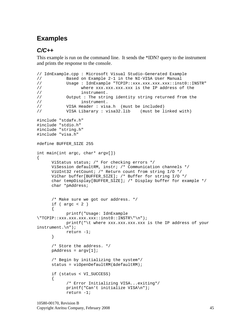# <span id="page-45-0"></span>**Examples**

# *C/C++*

This example is run on the command line. It sends the \*IDN? query to the instrument and prints the response to the console.

```
// IdnExample.cpp : Microsoft Visual Studio-Generated Example 
// Based on Example 2-1 in the NI-VISA User Manual 
// Usage : IdnExample "TCPIP::xxx.xxx.xxx.xxx::inst0::INSTR" 
// where xxx.xxx.xxx.xxx is the IP address of the //
                  instrument.
// Output : The string identity string returned from the 
// instrument. 
// VISA Header : visa.h (must be included) 
// VISA Libarary : visa32.lib (must be linked with) 
#include "stdafx.h" 
#include "stdio.h" 
#include "string.h" 
#include "visa.h" 
#define BUFFER_SIZE 255 
int main(int argc, char* argv[]) 
{ 
      ViStatus status; /* For checking errors */ 
      ViSession defaultRM, instr; /* Communication channels */ 
      ViUInt32 retCount; /* Return count from string I/O */ 
      ViChar buffer[BUFFER_SIZE]; /* Buffer for string I/O */ 
      char tempDisplay[BUFFER_SIZE]; /* Display buffer for example */ 
      char *pAddress; 
       /* Make sure we got our address. */ 
     if ( \arg c < 2 )
       { 
            printf("Usage: IdnExample 
\"TCPIP::xxx.xxx.xxx.xxx::inst0::INSTR\"\n"); 
            printf("\t where xxx.xxx.xxx.xxx is the IP address of your 
instrument.\n"); 
            return -1; 
       } 
       /* Store the address. */ 
      pAddress = argv[1]; 
       /* Begin by initializing the system*/ 
      status = viOpenDefaultRM(&defaultRM); 
       if (status < VI_SUCCESS) 
       { 
             /* Error Initializing VISA...exiting*/ 
            printf("Can't initialize VISA\n"); 
             return -1;
```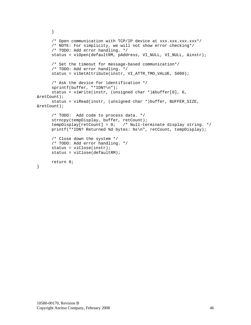```
 } 
      /* Open communication with TCP/IP device at xxx.xxx.xxx.xxx*/
       /* NOTE: For simplicity, we will not show error checking*/ 
       /* TODO: Add error handling. */ 
      status = viOpen(defaultRM, pAddress, VI_NULL, VI_NULL, &instr);
       /* Set the timeout for message-based communication*/ 
       /* TODO: Add error handling. */ 
      status = viSetAttribute(instr, VI ATTR TMO VALUE, 5000);
       /* Ask the device for identification */ 
       sprintf(buffer, "*IDN?\n"); 
       status = viWrite(instr, (unsigned char *)&buffer[0], 6, 
&retCount); 
       status = viRead(instr, (unsigned char *)buffer, BUFFER_SIZE, 
&retCount); 
       /* TODO: Add code to process data. */ 
       strncpy(tempDisplay, buffer, retCount); 
       tempDisplay[retCount] = 0; /* Null-terminate display string. */ 
       printf("*IDN? Returned %d bytes: %s\n", retCount, tempDisplay); 
       /* Close down the system */ 
       /* TODO: Add error handling. */ 
       status = viClose(instr); 
       status = viClose(defaultRM); 
       return 0; 
}
```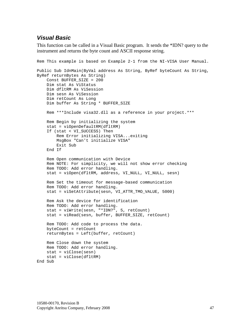# <span id="page-47-0"></span>*Visual Basic*

This function can be called in a Visual Basic program. It sends the \*IDN? query to the instrument and returns the byte count and ASCII response string.

```
Rem This example is based on Example 2-1 from the NI-VISA User Manual. 
Public Sub IdnMain(ByVal address As String, ByRef byteCount As String, 
ByRef returnBytes As String) 
     Const BUFFER_SIZE = 200 
     Dim stat As ViStatus 
     Dim dfltRM As ViSession 
     Dim sesn As ViSession 
     Dim retCount As Long 
     Dim buffer As String * BUFFER_SIZE 
     Rem ***Include visa32.dll as a reference in your project.*** 
     Rem Begin by initializing the system 
     stat = viOpenDefaultRM(dfltRM) 
     If (stat < VI_SUCCESS) Then 
         Rem Error initializing VISA...exiting 
         MsgBox "Can't initialize VISA" 
         Exit Sub 
     End If 
     Rem Open communication with Device 
     Rem NOTE: For simplicity, we will not show error checking 
     Rem TODO: Add error handling. 
     stat = viOpen(dfltRM, address, VI_NULL, VI_NULL, sesn) 
     Rem Set the timeout for message-based communication 
     Rem TODO: Add error handling. 
     stat = viSetAttribute(sesn, VI_ATTR_TMO_VALUE, 5000) 
     Rem Ask the device for identification 
     Rem TODO: Add error handling. 
     stat = viWrite(sesn, "*IDN?", 5, retCount) 
     stat = viRead(sesn, buffer, BUFFER_SIZE, retCount) 
     Rem TODO: Add code to process the data. 
     byteCount = retCount 
     returnBytes = Left(buffer, retCount) 
     Rem Close down the system 
     Rem TODO: Add error handling. 
     stat = viClose(sesn) 
     stat = viClose(dfltRM) 
End Sub
```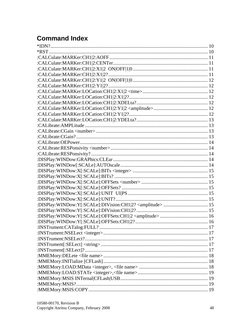# <span id="page-48-0"></span>**Command Index**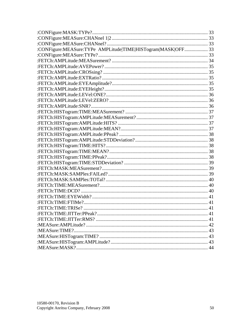| :CONFigure:MEASure:TYPe AMPLitude TIME HISTogram MASK OFF 33 |    |
|--------------------------------------------------------------|----|
|                                                              |    |
|                                                              |    |
|                                                              |    |
|                                                              |    |
|                                                              |    |
|                                                              |    |
|                                                              |    |
|                                                              |    |
|                                                              |    |
|                                                              |    |
|                                                              |    |
|                                                              |    |
|                                                              |    |
|                                                              |    |
|                                                              |    |
|                                                              |    |
|                                                              |    |
|                                                              |    |
|                                                              |    |
|                                                              |    |
|                                                              |    |
|                                                              |    |
|                                                              |    |
|                                                              |    |
|                                                              |    |
|                                                              |    |
|                                                              |    |
|                                                              |    |
|                                                              | 41 |
|                                                              |    |
|                                                              |    |
|                                                              |    |
|                                                              |    |
|                                                              |    |
|                                                              |    |